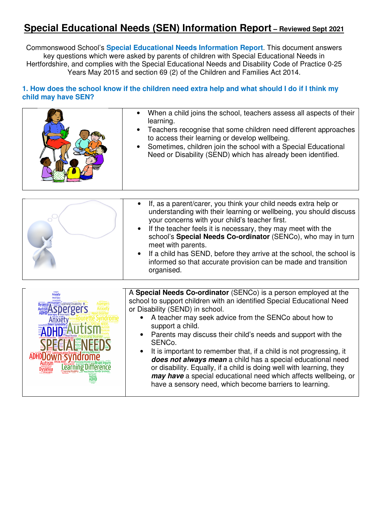# **Special Educational Needs (SEN) Information Report – Reviewed Sept 2021**

Commonswood School's **Special Educational Needs Information Report**. This document answers key questions which were asked by parents of children with Special Educational Needs in Hertfordshire, and complies with the Special Educational Needs and Disability Code of Practice 0-25 Years May 2015 and section 69 (2) of the Children and Families Act 2014.

### **1. How does the school know if the children need extra help and what should I do if I think my child may have SEN?**

|                                                                     | When a child joins the school, teachers assess all aspects of their<br>learning.<br>Teachers recognise that some children need different approaches<br>to access their learning or develop wellbeing.<br>Sometimes, children join the school with a Special Educational<br>Need or Disability (SEND) which has already been identified.                                                                                                                                                                                                                                                                                                                                                       |
|---------------------------------------------------------------------|-----------------------------------------------------------------------------------------------------------------------------------------------------------------------------------------------------------------------------------------------------------------------------------------------------------------------------------------------------------------------------------------------------------------------------------------------------------------------------------------------------------------------------------------------------------------------------------------------------------------------------------------------------------------------------------------------|
|                                                                     | If, as a parent/carer, you think your child needs extra help or<br>understanding with their learning or wellbeing, you should discuss<br>your concerns with your child's teacher first.<br>If the teacher feels it is necessary, they may meet with the<br>school's Special Needs Co-ordinator (SENCo), who may in turn<br>meet with parents.<br>If a child has SEND, before they arrive at the school, the school is<br>informed so that accurate provision can be made and transition<br>organised.                                                                                                                                                                                         |
| Learning Disability<br><b>ADHDLJOWN SVNO</b><br>Learning Difference | A Special Needs Co-ordinator (SENCo) is a person employed at the<br>school to support children with an identified Special Educational Need<br>or Disability (SEND) in school.<br>A teacher may seek advice from the SENCo about how to<br>support a child.<br>Parents may discuss their child's needs and support with the<br>SENCo.<br>It is important to remember that, if a child is not progressing, it<br>$\bullet$<br>does not always mean a child has a special educational need<br>or disability. Equally, if a child is doing well with learning, they<br>may have a special educational need which affects wellbeing, or<br>have a sensory need, which become barriers to learning. |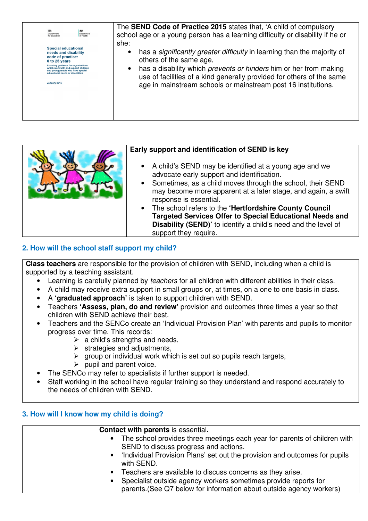| 櫞<br>鬱<br>Department<br>Department<br>for Education<br>of Health                                                                                                                                                                                                          | The SEND Code of Practice 2015 states that, 'A child of compulsory<br>school age or a young person has a learning difficulty or disability if he or<br>she:                                                                                                                                                       |
|---------------------------------------------------------------------------------------------------------------------------------------------------------------------------------------------------------------------------------------------------------------------------|-------------------------------------------------------------------------------------------------------------------------------------------------------------------------------------------------------------------------------------------------------------------------------------------------------------------|
| <b>Special educational</b><br>needs and disability<br>code of practice:<br>0 to 25 years<br><b>Statutory quidance for organisations</b><br>which work with and support children<br>and young people who have special<br>educational needs or disabilities<br>January 2015 | has a significantly greater difficulty in learning than the majority of<br>others of the same age,<br>has a disability which prevents or hinders him or her from making<br>use of facilities of a kind generally provided for others of the same<br>age in mainstream schools or mainstream post 16 institutions. |

#### **Early support and identification of SEND is key**

- A child's SEND may be identified at a young age and we advocate early support and identification.
- Sometimes, as a child moves through the school, their SEND may become more apparent at a later stage, and again, a swift response is essential.
- The school refers to the **'Hertfordshire County Council Targeted Services Offer to Special Educational Needs and Disability (SEND)'** to identify a child's need and the level of support they require.

# **2. How will the school staff support my child?**

**Class teachers** are responsible for the provision of children with SEND, including when a child is supported by a teaching assistant.

- Learning is carefully planned by *teachers* for all children with different abilities in their class.
- A child may receive extra support in small groups or, at times, on a one to one basis in class.
- A **'graduated approach'** is taken to support children with SEND.
- Teachers **'Assess, plan, do and review'** provision and outcomes three times a year so that children with SEND achieve their best.
- Teachers and the SENCo create an 'Individual Provision Plan' with parents and pupils to monitor progress over time. This records:
	- $\triangleright$  a child's strengths and needs,
	- $\triangleright$  strategies and adjustments,
	- $\triangleright$  group or individual work which is set out so pupils reach targets,
	- $\triangleright$  pupil and parent voice.
- The SENCo may refer to specialists if further support is needed.
- Staff working in the school have regular training so they understand and respond accurately to the needs of children with SEND.

# **3. How will I know how my child is doing?**

|           | <b>Contact with parents is essential.</b>                                                                          |
|-----------|--------------------------------------------------------------------------------------------------------------------|
|           | The school provides three meetings each year for parents of children with<br>SEND to discuss progress and actions. |
|           | 'Individual Provision Plans' set out the provision and outcomes for pupils<br>with SEND.                           |
| $\bullet$ | Teachers are available to discuss concerns as they arise.                                                          |
| $\bullet$ | Specialist outside agency workers sometimes provide reports for                                                    |
|           | parents. (See Q7 below for information about outside agency workers)                                               |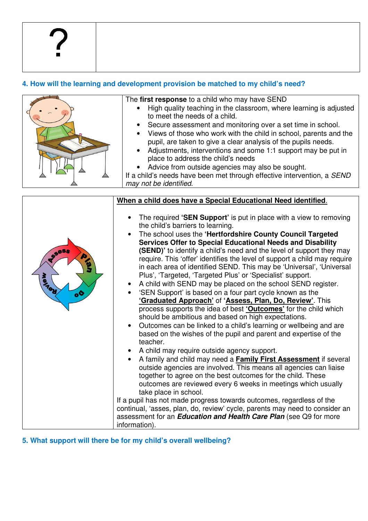# **4. How will the learning and development provision be matched to my child's need?**



The **first response** to a child who may have SEND

- High quality teaching in the classroom, where learning is adjusted to meet the needs of a child.
- Secure assessment and monitoring over a set time in school.
- Views of those who work with the child in school, parents and the pupil, are taken to give a clear analysis of the pupils needs.
- Adjustments, interventions and some 1:1 support may be put in place to address the child's needs
- Advice from outside agencies may also be sought.

```
If a child's needs have been met through effective intervention, a SEND
may not be identified.
```

|                                                     | When a child does have a Special Educational Need identified.                                                                                                                                                                                                                                                                                                                                                                                                                                                                                                                                                                                                                                                                                                                                                                                                                                                                                                                                                                                                                                                                                                                                                                                                                                                                                                                                                                                                                                                                              |
|-----------------------------------------------------|--------------------------------------------------------------------------------------------------------------------------------------------------------------------------------------------------------------------------------------------------------------------------------------------------------------------------------------------------------------------------------------------------------------------------------------------------------------------------------------------------------------------------------------------------------------------------------------------------------------------------------------------------------------------------------------------------------------------------------------------------------------------------------------------------------------------------------------------------------------------------------------------------------------------------------------------------------------------------------------------------------------------------------------------------------------------------------------------------------------------------------------------------------------------------------------------------------------------------------------------------------------------------------------------------------------------------------------------------------------------------------------------------------------------------------------------------------------------------------------------------------------------------------------------|
| <b>SSESS</b><br>စ္ခ<br><b>Wertiles</b><br>$\bullet$ | The required 'SEN Support' is put in place with a view to removing<br>the child's barriers to learning.<br>The school uses the 'Hertfordshire County Council Targeted<br>Services Offer to Special Educational Needs and Disability<br>(SEND)' to identify a child's need and the level of support they may<br>require. This 'offer' identifies the level of support a child may require<br>in each area of identified SEND. This may be 'Universal', 'Universal<br>Plus', 'Targeted, 'Targeted Plus' or 'Specialist' support.<br>A child with SEND may be placed on the school SEND register.<br>$\bullet$<br>'SEN Support' is based on a four part cycle known as the<br>'Graduated Approach' of 'Assess, Plan, Do, Review'. This<br>process supports the idea of best ' <b>Outcomes'</b> for the child which<br>should be ambitious and based on high expectations.<br>Outcomes can be linked to a child's learning or wellbeing and are<br>based on the wishes of the pupil and parent and expertise of the<br>teacher.<br>A child may require outside agency support.<br>A family and child may need a <b>Family First Assessment</b> if several<br>outside agencies are involved. This means all agencies can liaise<br>together to agree on the best outcomes for the child. These<br>outcomes are reviewed every 6 weeks in meetings which usually<br>take place in school.<br>If a pupil has not made progress towards outcomes, regardless of the<br>continual, 'asses, plan, do, review' cycle, parents may need to consider an |
|                                                     | assessment for an <i>Education and Health Care Plan</i> (see Q9 for more                                                                                                                                                                                                                                                                                                                                                                                                                                                                                                                                                                                                                                                                                                                                                                                                                                                                                                                                                                                                                                                                                                                                                                                                                                                                                                                                                                                                                                                                   |
|                                                     | information).                                                                                                                                                                                                                                                                                                                                                                                                                                                                                                                                                                                                                                                                                                                                                                                                                                                                                                                                                                                                                                                                                                                                                                                                                                                                                                                                                                                                                                                                                                                              |

**5. What support will there be for my child's overall wellbeing?**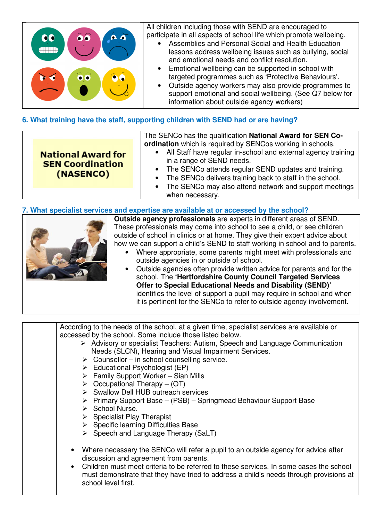

# **6. What training have the staff, supporting children with SEND had or are having?**

### **7. What specialist services and expertise are available at or accessed by the school?**



**Outside agency professionals** are experts in different areas of SEND. These professionals may come into school to see a child, or see children outside of school in clinics or at home. They give their expert advice about how we can support a child's SEND to staff working in school and to parents.

- Where appropriate, some parents might meet with professionals and outside agencies in or outside of school.
- Outside agencies often provide written advice for parents and for the school. The **'Hertfordshire County Council Targeted Services Offer to Special Educational Needs and Disability (SEND)'**  identifies the level of support a pupil may require in school and when it is pertinent for the SENCo to refer to outside agency involvement.

According to the needs of the school, at a given time, specialist services are available or accessed by the school. Some include those listed below.

- Advisory or specialist Teachers: Autism, Speech and Language Communication Needs (SLCN), Hearing and Visual Impairment Services.
- $\triangleright$  Counsellor in school counselling service.
- $\triangleright$  Educational Psychologist (EP)
- $\triangleright$  Family Support Worker Sian Mills
- $\triangleright$  Occupational Therapy (OT)
- $\triangleright$  Swallow Dell HUB outreach services
- $\triangleright$  Primary Support Base (PSB) Springmead Behaviour Support Base
- $\triangleright$  School Nurse.
- $\triangleright$  Specialist Play Therapist
- $\triangleright$  Specific learning Difficulties Base
- $\triangleright$  Speech and Language Therapy (SaLT)
- Where necessary the SENCo will refer a pupil to an outside agency for advice after discussion and agreement from parents.
- Children must meet criteria to be referred to these services. In some cases the school must demonstrate that they have tried to address a child's needs through provisions at school level first.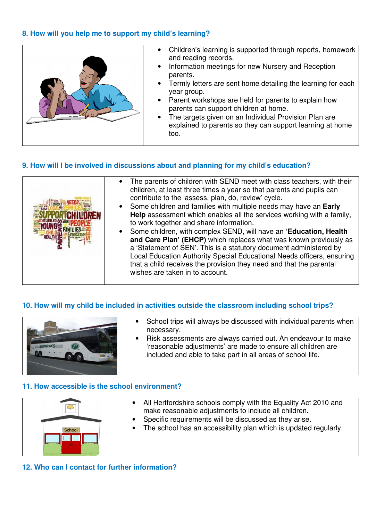## **8. How will you help me to support my child's learning?**



### **9. How will I be involved in discussions about and planning for my child's education?**

|  | The parents of children with SEND meet with class teachers, with their<br>children, at least three times a year so that parents and pupils can<br>contribute to the 'assess, plan, do, review' cycle.<br>• Some children and families with multiple needs may have an Early<br>Help assessment which enables all the services working with a family,<br>to work together and share information.<br>• Some children, with complex SEND, will have an 'Education, Health<br>and Care Plan' (EHCP) which replaces what was known previously as<br>a 'Statement of SEN'. This is a statutory document administered by<br>Local Education Authority Special Educational Needs officers, ensuring<br>that a child receives the provision they need and that the parental<br>wishes are taken in to account. |
|--|-------------------------------------------------------------------------------------------------------------------------------------------------------------------------------------------------------------------------------------------------------------------------------------------------------------------------------------------------------------------------------------------------------------------------------------------------------------------------------------------------------------------------------------------------------------------------------------------------------------------------------------------------------------------------------------------------------------------------------------------------------------------------------------------------------|
|--|-------------------------------------------------------------------------------------------------------------------------------------------------------------------------------------------------------------------------------------------------------------------------------------------------------------------------------------------------------------------------------------------------------------------------------------------------------------------------------------------------------------------------------------------------------------------------------------------------------------------------------------------------------------------------------------------------------------------------------------------------------------------------------------------------------|

### **10. How will my child be included in activities outside the classroom including school trips?**



- School trips will always be discussed with individual parents when necessary.
- Risk assessments are always carried out. An endeavour to make 'reasonable adjustments' are made to ensure all children are included and able to take part in all areas of school life.

#### **11. How accessible is the school environment?**



- All Hertfordshire schools comply with the Equality Act 2010 and make reasonable adjustments to include all children.
- Specific requirements will be discussed as they arise.
- The school has an accessibility plan which is updated regularly.

**12. Who can I contact for further information?**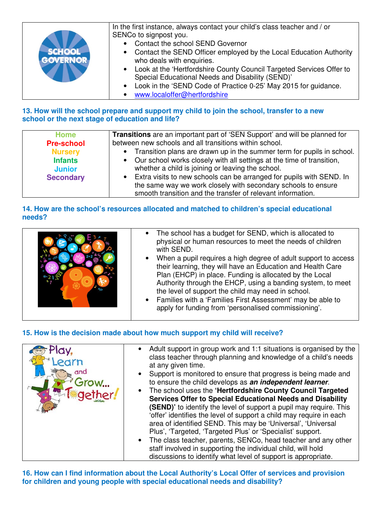|                 | In the first instance, always contact your child's class teacher and / or |
|-----------------|---------------------------------------------------------------------------|
|                 | SENCo to signpost you.                                                    |
|                 | Contact the school SEND Governor                                          |
|                 | • Contact the SEND Officer employed by the Local Education Authority      |
| <b>GOVERNOR</b> | who deals with enquiries.                                                 |
|                 | • Look at the 'Hertfordshire County Council Targeted Services Offer to    |
|                 | Special Educational Needs and Disability (SEND)'                          |
|                 | • Look in the 'SEND Code of Practice 0-25' May 2015 for guidance.         |
|                 | www.localoffer@hertfordshire                                              |

## **13. How will the school prepare and support my child to join the school, transfer to a new school or the next stage of education and life?**

| <b>Home</b>                     | <b>Transitions</b> are an important part of 'SEN Support' and will be planned for                                            |
|---------------------------------|------------------------------------------------------------------------------------------------------------------------------|
| <b>Pre-school</b>               | between new schools and all transitions within school.                                                                       |
| <b>Nursery</b>                  | • Transition plans are drawn up in the summer term for pupils in school.                                                     |
| <b>Infants</b><br><b>Junior</b> | • Our school works closely with all settings at the time of transition,<br>whether a child is joining or leaving the school. |
| <b>Secondary</b>                | • Extra visits to new schools can be arranged for pupils with SEND. In                                                       |
|                                 | the same way we work closely with secondary schools to ensure                                                                |
|                                 | smooth transition and the transfer of relevant information.                                                                  |

## **14. How are the school's resources allocated and matched to children's special educational needs?**

|  | • The school has a budget for SEND, which is allocated to<br>physical or human resources to meet the needs of children<br>with SEND.<br>• When a pupil requires a high degree of adult support to access<br>their learning, they will have an Education and Health Care<br>Plan (EHCP) in place. Funding is allocated by the Local<br>Authority through the EHCP, using a banding system, to meet<br>the level of support the child may need in school.<br>• Families with a 'Families First Assessment' may be able to<br>apply for funding from 'personalised commissioning'. |
|--|---------------------------------------------------------------------------------------------------------------------------------------------------------------------------------------------------------------------------------------------------------------------------------------------------------------------------------------------------------------------------------------------------------------------------------------------------------------------------------------------------------------------------------------------------------------------------------|
|--|---------------------------------------------------------------------------------------------------------------------------------------------------------------------------------------------------------------------------------------------------------------------------------------------------------------------------------------------------------------------------------------------------------------------------------------------------------------------------------------------------------------------------------------------------------------------------------|

# **15. How is the decision made about how much support my child will receive?**



**16. How can I find information about the Local Authority's Local Offer of services and provision for children and young people with special educational needs and disability?**